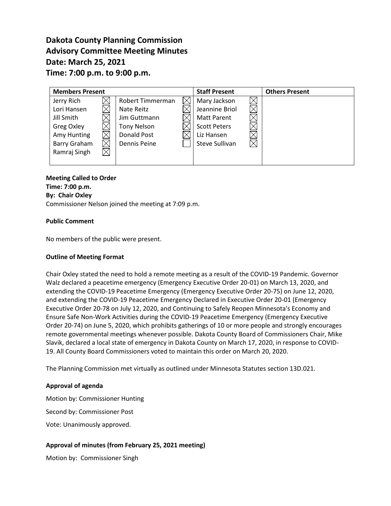# **Dakota County Planning Commission Advisory Committee Meeting Minutes Date: March 25, 2021 Time: 7:00 p.m. to 9:00 p.m.**

| <b>Members Present</b>   |                    |  | <b>Staff Present</b> |          | <b>Others Present</b> |
|--------------------------|--------------------|--|----------------------|----------|-----------------------|
| Jerry Rich               | Robert Timmerman   |  | Mary Jackson         |          |                       |
| Lori Hansen              | Nate Reitz         |  | Jeannine Briol       |          |                       |
| Jill Smith               | Jim Guttmann       |  | <b>Matt Parent</b>   |          |                       |
| Greg Oxley               | <b>Tony Nelson</b> |  | <b>Scott Peters</b>  |          |                       |
| Amy Hunting              | <b>Donald Post</b> |  | Liz Hansen           |          |                       |
| $\times$<br>Barry Graham | Dennis Peine       |  | Steve Sullivan       | $\times$ |                       |
| $\times$<br>Ramraj Singh |                    |  |                      |          |                       |
|                          |                    |  |                      |          |                       |

# **Meeting Called to Order Time: 7:00 p.m.**

**By: Chair Oxley**

Commissioner Nelson joined the meeting at 7:09 p.m.

# **Public Comment**

No members of the public were present.

# **Outline of Meeting Format**

Chair Oxley stated the need to hold a remote meeting as a result of the COVID-19 Pandemic. Governor Walz declared a peacetime emergency (Emergency Executive Order 20-01) on March 13, 2020, and extending the COVID-19 Peacetime Emergency (Emergency Executive Order 20-75) on June 12, 2020, and extending the COVID-19 Peacetime Emergency Declared in Executive Order 20-01 (Emergency Executive Order 20-78 on July 12, 2020, and Continuing to Safely Reopen Minnesota's Economy and Ensure Safe Non-Work Activities during the COVID-19 Peacetime Emergency (Emergency Executive Order 20-74) on June 5, 2020, which prohibits gatherings of 10 or more people and strongly encourages remote governmental meetings whenever possible. Dakota County Board of Commissioners Chair, Mike Slavik, declared a local state of emergency in Dakota County on March 17, 2020, in response to COVID-19. All County Board Commissioners voted to maintain this order on March 20, 2020.

The Planning Commission met virtually as outlined under Minnesota Statutes section 13D.021.

### **Approval of agenda**

Motion by: Commissioner Hunting

Second by: Commissioner Post

Vote: Unanimously approved.

# **Approval of minutes (from February 25, 2021 meeting)**

Motion by: Commissioner Singh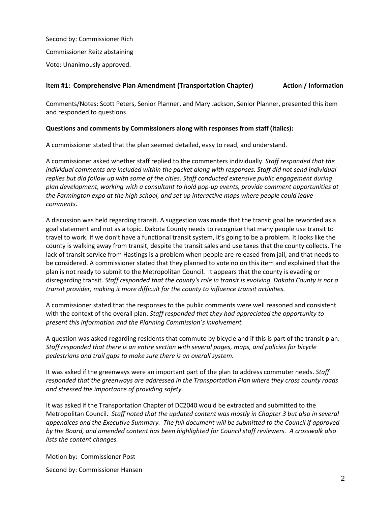Second by: Commissioner Rich Commissioner Reitz abstaining Vote: Unanimously approved.

# **Item #1: Comprehensive Plan Amendment (Transportation Chapter) <b>Action** / Information

Comments/Notes: Scott Peters, Senior Planner, and Mary Jackson, Senior Planner, presented this item and responded to questions.

# **Questions and comments by Commissioners along with responses from staff (italics):**

A commissioner stated that the plan seemed detailed, easy to read, and understand.

A commissioner asked whether staff replied to the commenters individually. *Staff responded that the individual comments are included within the packet along with responses. Staff did not send individual replies but did follow up with some of the cities. Staff conducted extensive public engagement during plan development, working with a consultant to hold pop-up events, provide comment opportunities at the Farmington expo at the high school, and set up interactive maps where people could leave comments.*

A discussion was held regarding transit. A suggestion was made that the transit goal be reworded as a goal statement and not as a topic. Dakota County needs to recognize that many people use transit to travel to work. If we don't have a functional transit system, it's going to be a problem. It looks like the county is walking away from transit, despite the transit sales and use taxes that the county collects. The lack of transit service from Hastings is a problem when people are released from jail, and that needs to be considered. A commissioner stated that they planned to vote no on this item and explained that the plan is not ready to submit to the Metropolitan Council. It appears that the county is evading or disregarding transit. *Staff responded that the county's role in transit is evolving. Dakota County is not a transit provider, making it more difficult for the county to influence transit activities.*

A commissioner stated that the responses to the public comments were well reasoned and consistent with the context of the overall plan. *Staff responded that they had appreciated the opportunity to present this information and the Planning Commission's involvement.*

A question was asked regarding residents that commute by bicycle and if this is part of the transit plan. *Staff responded that there is an entire section with several pages, maps, and policies for bicycle pedestrians and trail gaps to make sure there is an overall system.* 

It was asked if the greenways were an important part of the plan to address commuter needs. *Staff responded that the greenways are addressed in the Transportation Plan where they cross county roads and stressed the importance of providing safety.* 

It was asked if the Transportation Chapter of DC2040 would be extracted and submitted to the Metropolitan Council. *Staff noted that the updated content was mostly in Chapter 3 but also in several appendices and the Executive Summary. The full document will be submitted to the Council if approved by the Board, and amended content has been highlighted for Council staff reviewers. A crosswalk also lists the content changes.*

Motion by: Commissioner Post

Second by: Commissioner Hansen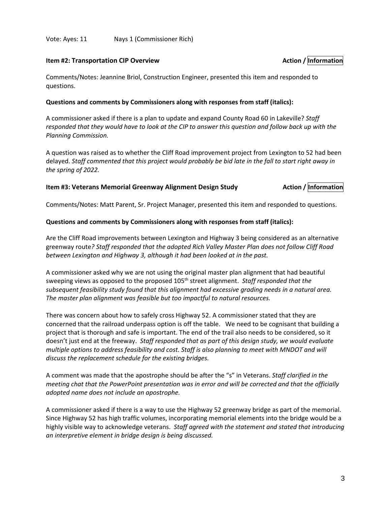### Vote: Ayes: 11 Nays 1 (Commissioner Rich)

#### **Item #2: Transportation CIP Overview Action** *Action / Information Action / Information*

Comments/Notes: Jeannine Briol, Construction Engineer, presented this item and responded to questions.

#### **Questions and comments by Commissioners along with responses from staff (italics):**

A commissioner asked if there is a plan to update and expand County Road 60 in Lakeville? *Staff responded that they would have to look at the CIP to answer this question and follow back up with the Planning Commission.* 

A question was raised as to whether the Cliff Road improvement project from Lexington to 52 had been delayed. *Staff commented that this project would probably be bid late in the fall to start right away in the spring of 2022.*

## **Item #3: Veterans Memorial Greenway Alignment Design Study <b>Action** / **Action** / **Information**

Comments/Notes: Matt Parent, Sr. Project Manager, presented this item and responded to questions.

#### **Questions and comments by Commissioners along with responses from staff (italics):**

Are the Cliff Road improvements between Lexington and Highway 3 being considered as an alternative greenway route*? Staff responded that the adopted Rich Valley Master Plan does not follow Cliff Road between Lexington and Highway 3, although it had been looked at in the past.*

A commissioner asked why we are not using the original master plan alignment that had beautiful sweeping views as opposed to the proposed 105<sup>th</sup> street alignment. *Staff responded that the subsequent feasibility study found that this alignment had excessive grading needs in a natural area. The master plan alignment was feasible but too impactful to natural resources.*

There was concern about how to safely cross Highway 52. A commissioner stated that they are concerned that the railroad underpass option is off the table. We need to be cognisant that building a project that is thorough and safe is important. The end of the trail also needs to be considered, so it doesn't just end at the freeway. *Staff responded that as part of this design study, we would evaluate multiple options to address feasibility and cost. Staff is also planning to meet with MNDOT and will discuss the replacement schedule for the existing bridges.*

A comment was made that the apostrophe should be after the "s" in Veterans. *Staff clarified in the meeting chat that the PowerPoint presentation was in error and will be corrected and that the officially adopted name does not include an apostrophe.*

A commissioner asked if there is a way to use the Highway 52 greenway bridge as part of the memorial. Since Highway 52 has high traffic volumes, incorporating memorial elements into the bridge would be a highly visible way to acknowledge veterans. *Staff agreed with the statement and stated that introducing an interpretive element in bridge design is being discussed.*